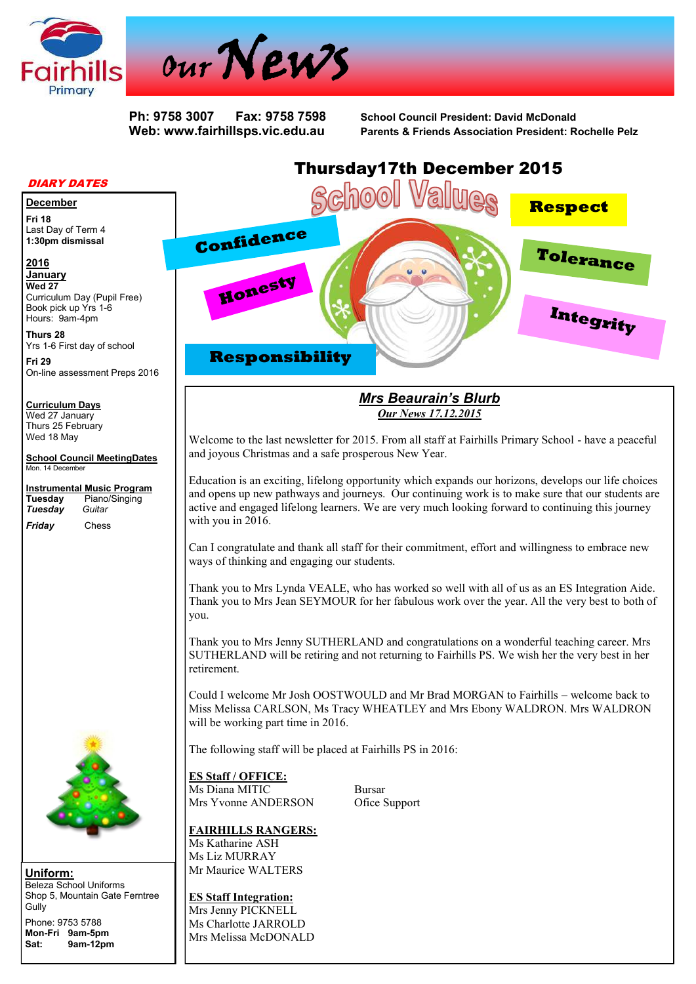



**Ph: 9758 3007 Fax: 9758 7598 School Council President: David McDonald Web: www.fairhillsps.vic.edu.au Parents & Friends Association President: Rochelle Pelz**

#### DIARY DATES

#### **December**

**Fri 18** Last Day of Term 4 **1:30pm dismissal**

### **2016**

**January**

**Wed 27** Curriculum Day (Pupil Free) Book pick up Yrs 1-6 Hours: 9am-4pm

**Thurs 28** Yrs 1-6 First day of school

**Fri 29** On-line assessment Preps 2016

#### **Curriculum Days**

Wed 27 January Thurs 25 February Wed 18 May

**School Council MeetingDates** Mon. 14 December

**Instrumental Music Program Tuesday** Piano/Singing *Tuesdav* 

*Friday* Chess



**Uniform:** Beleza School Uniforms Shop 5, Mountain Gate Ferntree Gully Phone: 9753 5788

**Mon-Fri 9am-5pm Sat: 9am-12pm**

# Thursday17th December 2015 School **Respect Confidence Tolerance Honesty Integrity Responsibility**

# *Mrs Beaurain's Blurb Our News 17.12.2015*

Welcome to the last newsletter for 2015. From all staff at Fairhills Primary School - have a peaceful and joyous Christmas and a safe prosperous New Year.

Education is an exciting, lifelong opportunity which expands our horizons, develops our life choices and opens up new pathways and journeys. Our continuing work is to make sure that our students are active and engaged lifelong learners. We are very much looking forward to continuing this journey with you in 2016.

Can I congratulate and thank all staff for their commitment, effort and willingness to embrace new ways of thinking and engaging our students.

Thank you to Mrs Lynda VEALE, who has worked so well with all of us as an ES Integration Aide. Thank you to Mrs Jean SEYMOUR for her fabulous work over the year. All the very best to both of you.

Thank you to Mrs Jenny SUTHERLAND and congratulations on a wonderful teaching career. Mrs SUTHERLAND will be retiring and not returning to Fairhills PS. We wish her the very best in her retirement.

Could I welcome Mr Josh OOSTWOULD and Mr Brad MORGAN to Fairhills – welcome back to Miss Melissa CARLSON, Ms Tracy WHEATLEY and Mrs Ebony WALDRON. Mrs WALDRON will be working part time in 2016.

The following staff will be placed at Fairhills PS in 2016:

#### **ES Staff / OFFICE:**

Ms Diana MITIC Bursar Mrs Yvonne ANDERSON Ofice Support

#### **FAIRHILLS RANGERS:**

Ms Katharine ASH Ms Liz MURRAY Mr Maurice WALTERS

**ES Staff Integration:** Mrs Jenny PICKNELL Ms Charlotte JARROLD Mrs Melissa McDONALD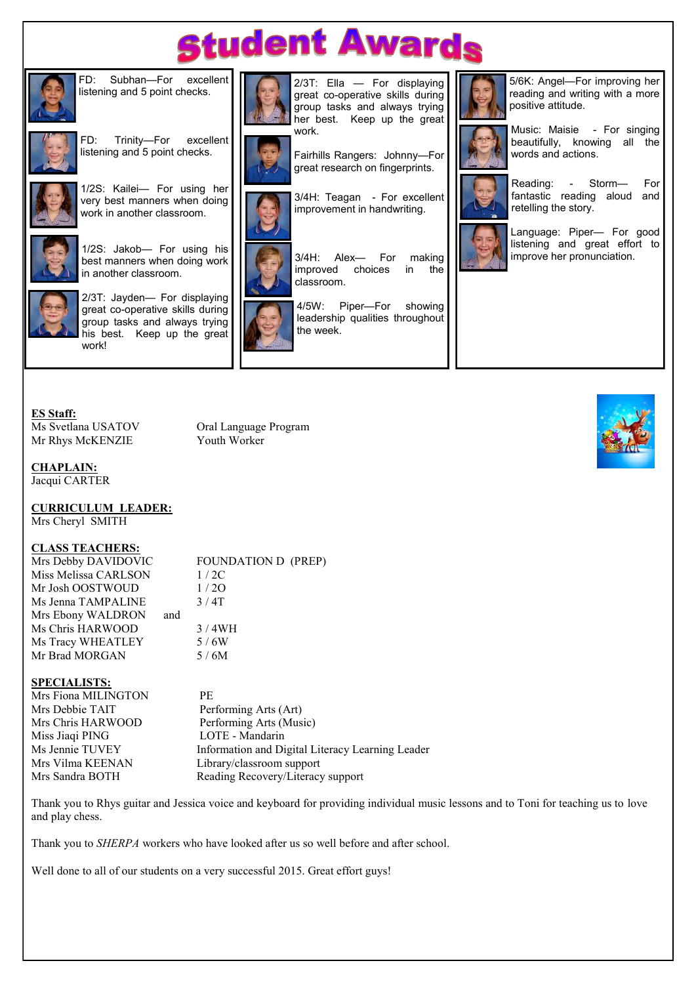# **student Awards**



FD: Subhan—For excellent listening and 5 point checks.



FD: Trinity—For excellent listening and 5 point checks.



1/2S: Kailei— For using her very best manners when doing work in another classroom.



1/2S: Jakob— For using his



best manners when doing work in another classroom.

2/3T: Jayden— For displaying great co-operative skills during group tasks and always trying his best. Keep up the great work!



2/3T: Ella — For displaying great co-operative skills during group tasks and always trying her best. Keep up the great work.



Fairhills Rangers: Johnny—For great research on fingerprints.

3/4H: Teagan - For excellent improvement in handwriting.



4/5W: Piper—For showing leadership qualities throughout the week.



5/6K: Angel—For improving her reading and writing with a more positive attitude.



Music: Maisie - For singing beautifully, knowing all the words and actions.



Reading: - Storm— For fantastic reading aloud and retelling the story.



Language: Piper— For good listening and great effort to improve her pronunciation.



Ms Svetlana USATOV Oral Language Program Mr Rhys McKENZIE Youth Worker

# **CHAPLAIN:**

Jacqui CARTER

**CURRICULUM LEADER:** Mrs Cheryl SMITH

#### **CLASS TEACHERS:**

Mrs Debby DAVIDOVIC FOUNDATION D (PREP) Miss Melissa CARLSON 1/2C Mr Josh OOSTWOUD 1/2O Ms Jenna TAMPALINE  $3/4T$ Mrs Ebony WALDRON and Ms Chris HARWOOD 3/4WH Ms Tracy WHEATLEY 5/6W Mr Brad MORGAN 5/6M

## **SPECIALISTS:**

Mrs Fiona MILINGTON PE Mrs Debbie TAIT Performing Arts (Art) Mrs Chris HARWOOD Performing Arts (Music) Miss Jiaqi PING LOTE - Mandarin<br>Ms Jennie TUVEY Information and Di Mrs Sandra BOTH Reading Recovery/Literacy support

Ms Jennie TUVEY Information and Digital Literacy Learning Leader<br>Mrs Vilma KEENAN Library/classroom support Library/classroom support

Thank you to Rhys guitar and Jessica voice and keyboard for providing individual music lessons and to Toni for teaching us to love and play chess.

Thank you to *SHERPA* workers who have looked after us so well before and after school.

Well done to all of our students on a very successful 2015. Great effort guys!

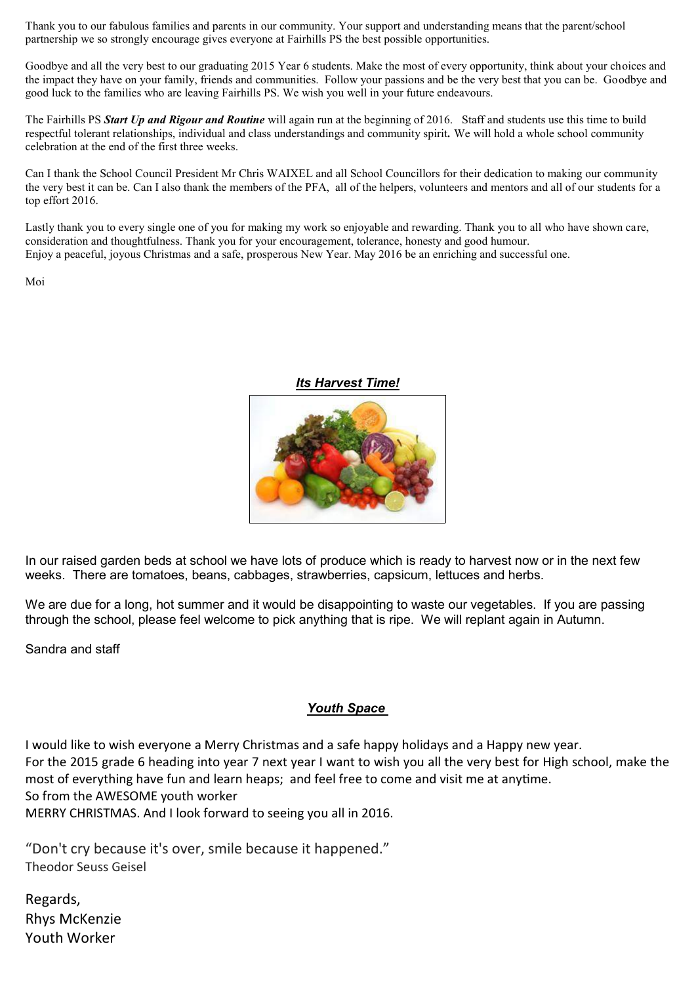Thank you to our fabulous families and parents in our community. Your support and understanding means that the parent/school partnership we so strongly encourage gives everyone at Fairhills PS the best possible opportunities.

Goodbye and all the very best to our graduating 2015 Year 6 students. Make the most of every opportunity, think about your choices and the impact they have on your family, friends and communities. Follow your passions and be the very best that you can be. Goodbye and good luck to the families who are leaving Fairhills PS. We wish you well in your future endeavours.

The Fairhills PS *Start Up and Rigour and Routine* will again run at the beginning of 2016. Staff and students use this time to build respectful tolerant relationships, individual and class understandings and community spirit*.* We will hold a whole school community celebration at the end of the first three weeks.

Can I thank the School Council President Mr Chris WAIXEL and all School Councillors for their dedication to making our community the very best it can be. Can I also thank the members of the PFA, all of the helpers, volunteers and mentors and all of our students for a top effort 2016.

Lastly thank you to every single one of you for making my work so enjoyable and rewarding. Thank you to all who have shown care, consideration and thoughtfulness. Thank you for your encouragement, tolerance, honesty and good humour. Enjoy a peaceful, joyous Christmas and a safe, prosperous New Year. May 2016 be an enriching and successful one.

Moi



*Its Harvest Time!*

In our raised garden beds at school we have lots of produce which is ready to harvest now or in the next few weeks. There are tomatoes, beans, cabbages, strawberries, capsicum, lettuces and herbs.

We are due for a long, hot summer and it would be disappointing to waste our vegetables. If you are passing through the school, please feel welcome to pick anything that is ripe. We will replant again in Autumn.

Sandra and staff

# *Youth Space*

I would like to wish everyone a Merry Christmas and a safe happy holidays and a Happy new year. For the 2015 grade 6 heading into year 7 next year I want to wish you all the very best for High school, make the most of everything have fun and learn heaps; and feel free to come and visit me at anytime. So from the AWESOME youth worker

MERRY CHRISTMAS. And I look forward to seeing you all in 2016.

"Don't cry because it's over, smile because it happened." Theodor Seuss Geisel

Regards, Rhys McKenzie Youth Worker